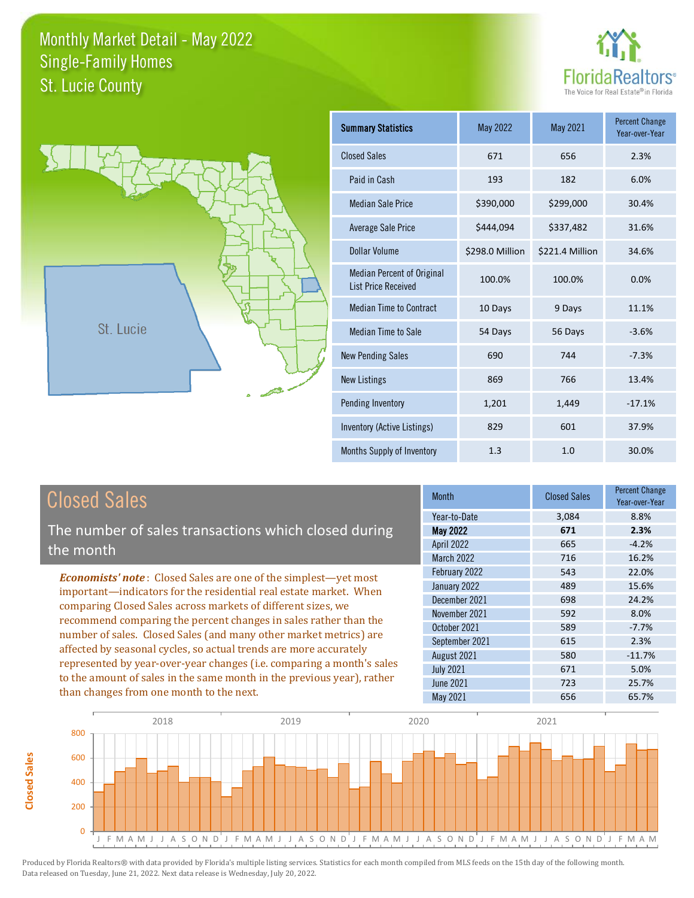



**Closed Sales**

**Closed Sales** 

| <b>Summary Statistics</b>                                       | May 2022        | May 2021        | <b>Percent Change</b><br>Year-over-Year |
|-----------------------------------------------------------------|-----------------|-----------------|-----------------------------------------|
| <b>Closed Sales</b>                                             | 671             | 656             | 2.3%                                    |
| Paid in Cash                                                    | 193             | 182             | 6.0%                                    |
| Median Sale Price                                               | \$390,000       | \$299,000       | 30.4%                                   |
| <b>Average Sale Price</b>                                       | \$444,094       | \$337,482       | 31.6%                                   |
| Dollar Volume                                                   | \$298.0 Million | \$221.4 Million | 34.6%                                   |
| <b>Median Percent of Original</b><br><b>List Price Received</b> | 100.0%          | 100.0%          | 0.0%                                    |
| <b>Median Time to Contract</b>                                  | 10 Days         | 9 Days          | 11.1%                                   |
| <b>Median Time to Sale</b>                                      | 54 Days         | 56 Days         | $-3.6%$                                 |
| <b>New Pending Sales</b>                                        | 690             | 744             | $-7.3%$                                 |
| <b>New Listings</b>                                             | 869             | 766             | 13.4%                                   |
| Pending Inventory                                               | 1,201           | 1,449           | $-17.1%$                                |
| Inventory (Active Listings)                                     | 829             | 601             | 37.9%                                   |
| Months Supply of Inventory                                      | 1.3             | 1.0             | 30.0%                                   |

| <b>Closed Sales</b>                                                                                                                                                                                                                                                                                                                                                                                                                                                                                | <b>Month</b>      | <b>Closed Sales</b> | <b>Percent Change</b><br>Year-over-Year |
|----------------------------------------------------------------------------------------------------------------------------------------------------------------------------------------------------------------------------------------------------------------------------------------------------------------------------------------------------------------------------------------------------------------------------------------------------------------------------------------------------|-------------------|---------------------|-----------------------------------------|
|                                                                                                                                                                                                                                                                                                                                                                                                                                                                                                    | Year-to-Date      | 3,084               | 8.8%                                    |
| The number of sales transactions which closed during                                                                                                                                                                                                                                                                                                                                                                                                                                               | <b>May 2022</b>   | 671                 | 2.3%                                    |
| the month                                                                                                                                                                                                                                                                                                                                                                                                                                                                                          | <b>April 2022</b> | 665                 | $-4.2%$                                 |
|                                                                                                                                                                                                                                                                                                                                                                                                                                                                                                    | <b>March 2022</b> | 716                 | 16.2%                                   |
| <b>Economists' note:</b> Closed Sales are one of the simplest—yet most<br>important—indicators for the residential real estate market. When<br>comparing Closed Sales across markets of different sizes, we<br>recommend comparing the percent changes in sales rather than the<br>number of sales. Closed Sales (and many other market metrics) are<br>affected by seasonal cycles, so actual trends are more accurately<br>represented by year-over-year changes (i.e. comparing a month's sales | February 2022     | 543                 | 22.0%                                   |
|                                                                                                                                                                                                                                                                                                                                                                                                                                                                                                    | January 2022      | 489                 | 15.6%                                   |
|                                                                                                                                                                                                                                                                                                                                                                                                                                                                                                    | December 2021     | 698                 | 24.2%                                   |
|                                                                                                                                                                                                                                                                                                                                                                                                                                                                                                    | November 2021     | 592                 | 8.0%                                    |
|                                                                                                                                                                                                                                                                                                                                                                                                                                                                                                    | October 2021      | 589                 | $-7.7%$                                 |
|                                                                                                                                                                                                                                                                                                                                                                                                                                                                                                    | September 2021    | 615                 | 2.3%                                    |
|                                                                                                                                                                                                                                                                                                                                                                                                                                                                                                    | August 2021       | 580                 | $-11.7%$                                |
|                                                                                                                                                                                                                                                                                                                                                                                                                                                                                                    | <b>July 2021</b>  | 671                 | 5.0%                                    |
| to the amount of sales in the same month in the previous year), rather                                                                                                                                                                                                                                                                                                                                                                                                                             | June 2021         | 723                 | 25.7%                                   |
| than changes from one month to the next.                                                                                                                                                                                                                                                                                                                                                                                                                                                           | May 2021          | 656                 | 65.7%                                   |

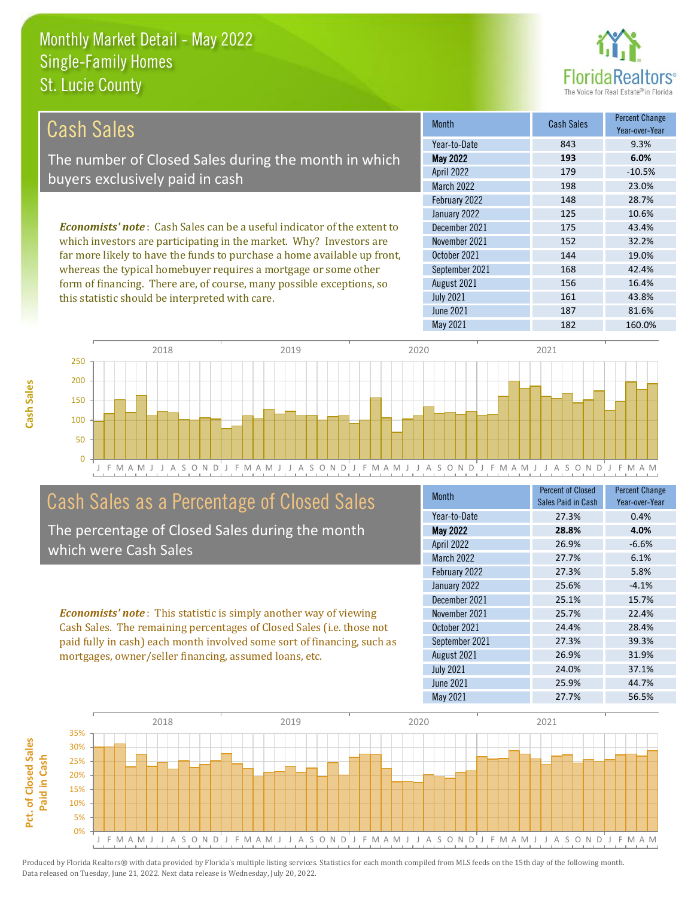this statistic should be interpreted with care.



161 43.8%

| Cash Sales                                                                     | <b>Month</b>      | <b>Cash Sales</b> | <b>Percent Change</b><br>Year-over-Year |
|--------------------------------------------------------------------------------|-------------------|-------------------|-----------------------------------------|
|                                                                                | Year-to-Date      | 843               | 9.3%                                    |
| The number of Closed Sales during the month in which                           | <b>May 2022</b>   | 193               | 6.0%                                    |
| buyers exclusively paid in cash                                                | <b>April 2022</b> | 179               | $-10.5%$                                |
|                                                                                | <b>March 2022</b> | 198               | 23.0%                                   |
|                                                                                | February 2022     | 148               | 28.7%                                   |
|                                                                                | January 2022      | 125               | 10.6%                                   |
| <b>Economists' note:</b> Cash Sales can be a useful indicator of the extent to | December 2021     | 175               | 43.4%                                   |
| which investors are participating in the market. Why? Investors are            | November 2021     | 152               | 32.2%                                   |
| far more likely to have the funds to purchase a home available up front,       | October 2021      | 144               | 19.0%                                   |
| whereas the typical homebuyer requires a mortgage or some other                | September 2021    | 168               | 42.4%                                   |
| form of financing. There are, of course, many possible exceptions, so          | August 2021       | 156               | 16.4%                                   |



### Cash Sales as a Percentage of Closed Sales

The percentage of Closed Sales during the month which were Cash Sales

*Economists' note* : This statistic is simply another way of viewing Cash Sales. The remaining percentages of Closed Sales (i.e. those not paid fully in cash) each month involved some sort of financing, such as mortgages, owner/seller financing, assumed loans, etc.

| <b>Month</b>      | <b>Percent of Closed</b><br>Sales Paid in Cash | <b>Percent Change</b><br>Year-over-Year |
|-------------------|------------------------------------------------|-----------------------------------------|
| Year-to-Date      | 27.3%                                          | 0.4%                                    |
| May 2022          | 28.8%                                          | 4.0%                                    |
| April 2022        | 26.9%                                          | $-6.6%$                                 |
| <b>March 2022</b> | 27.7%                                          | 6.1%                                    |
| February 2022     | 27.3%                                          | 5.8%                                    |
| January 2022      | 25.6%                                          | $-4.1%$                                 |
| December 2021     | 25.1%                                          | 15.7%                                   |
| November 2021     | 25.7%                                          | 22.4%                                   |
| October 2021      | 24.4%                                          | 28.4%                                   |
| September 2021    | 27.3%                                          | 39.3%                                   |
| August 2021       | 26.9%                                          | 31.9%                                   |
| <b>July 2021</b>  | 24.0%                                          | 37.1%                                   |
| June 2021         | 25.9%                                          | 44.7%                                   |
| May 2021          | 27.7%                                          | 56.5%                                   |

May 2021 182 160.0%

June 2021 187 81.6%

July 2021

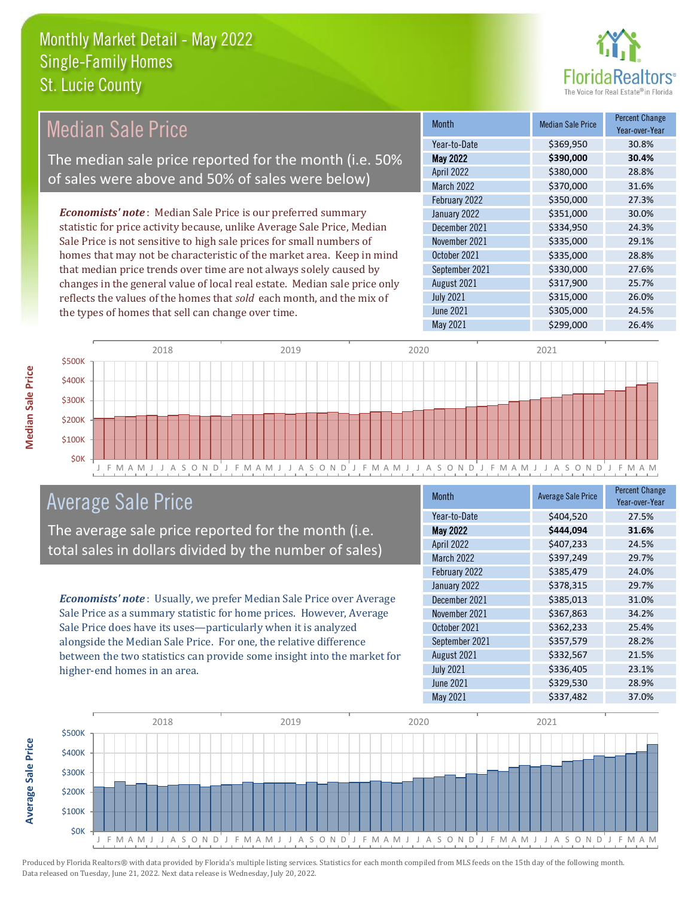

#### Month Median Sale Price Percent Change Year-over-Year May 2022 **\$390,000 30.4%** Year-to-Date \$369,950 30.8% October 2021 **\$335,000** 28.8% April 2022 \$380,000 28.8% March 2022 \$370,000 31.6% December 2021 \$334,950 24.3% November 2021 **\$335,000** 29.1% February 2022 \$350,000 27.3% January 2022 **\$351,000** \$30.0% September 2021 \$330,000 27.6% August 2021 **\$317,900** 25.7% July 2021 **\$315,000** \$315,000 26.0% June 2021 **\$305,000** 24.5% May 2021 **\$299,000** \$299,000 26.4% *Economists' note* : Median Sale Price is our preferred summary statistic for price activity because, unlike Average Sale Price, Median Sale Price is not sensitive to high sale prices for small numbers of homes that may not be characteristic of the market area. Keep in mind that median price trends over time are not always solely caused by changes in the general value of local real estate. Median sale price only reflects the values of the homes that *sold* each month, and the mix of the types of homes that sell can change over time. Median Sale Price The median sale price reported for the month (i.e. 50% of sales were above and 50% of sales were below)



#### Average Sale Price

The average sale price reported for the month (i.e. total sales in dollars divided by the number of sales)

*Economists' note* : Usually, we prefer Median Sale Price over Average Sale Price as a summary statistic for home prices. However, Average Sale Price does have its uses—particularly when it is analyzed alongside the Median Sale Price. For one, the relative difference between the two statistics can provide some insight into the market for higher-end homes in an area.

| <b>Month</b>      | <b>Average Sale Price</b> | <b>Percent Change</b><br>Year-over-Year |
|-------------------|---------------------------|-----------------------------------------|
| Year-to-Date      | \$404,520                 | 27.5%                                   |
| <b>May 2022</b>   | \$444,094                 | 31.6%                                   |
| April 2022        | \$407,233                 | 24.5%                                   |
| <b>March 2022</b> | \$397,249                 | 29.7%                                   |
| February 2022     | \$385,479                 | 24.0%                                   |
| January 2022      | \$378,315                 | 29.7%                                   |
| December 2021     | \$385,013                 | 31.0%                                   |
| November 2021     | \$367,863                 | 34.2%                                   |
| October 2021      | \$362,233                 | 25.4%                                   |
| September 2021    | \$357,579                 | 28.2%                                   |
| August 2021       | \$332,567                 | 21.5%                                   |
| <b>July 2021</b>  | \$336,405                 | 23.1%                                   |
| June 2021         | \$329,530                 | 28.9%                                   |
| May 2021          | \$337,482                 | 37.0%                                   |



**Average Sale Price**

**Average Sale Price**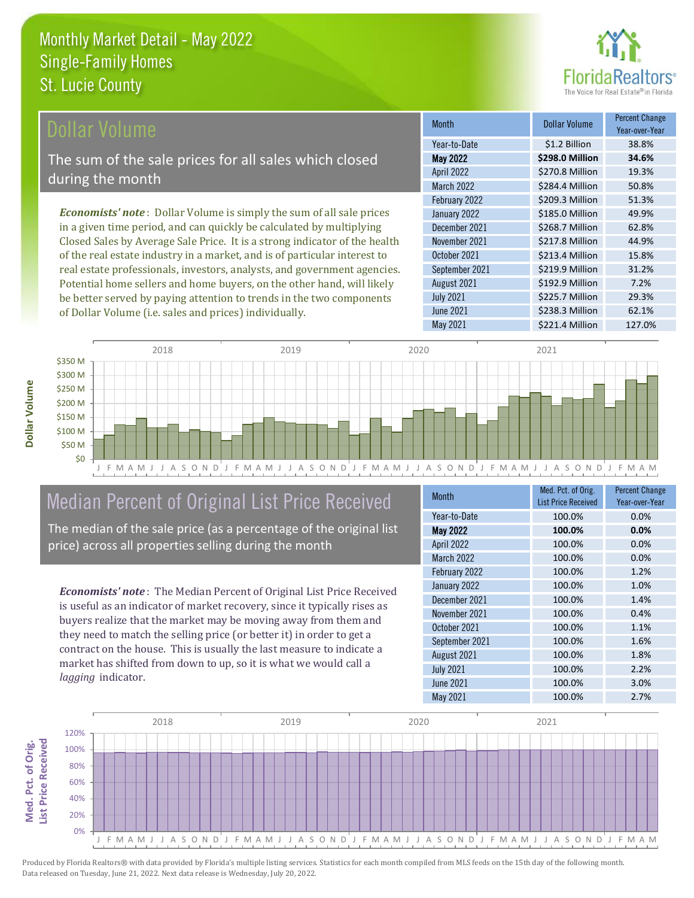

#### **Ollar Volume**

The sum of the sale prices for all sales which closed during the month

*Economists' note* : Dollar Volume is simply the sum of all sale prices in a given time period, and can quickly be calculated by multiplying Closed Sales by Average Sale Price. It is a strong indicator of the health of the real estate industry in a market, and is of particular interest to real estate professionals, investors, analysts, and government agencies. Potential home sellers and home buyers, on the other hand, will likely be better served by paying attention to trends in the two components of Dollar Volume (i.e. sales and prices) individually.

| <b>Month</b>      | Dollar Volume   | <b>Percent Change</b><br>Year-over-Year |
|-------------------|-----------------|-----------------------------------------|
| Year-to-Date      | \$1.2 Billion   | 38.8%                                   |
| <b>May 2022</b>   | \$298.0 Million | 34.6%                                   |
| <b>April 2022</b> | \$270.8 Million | 19.3%                                   |
| <b>March 2022</b> | \$284.4 Million | 50.8%                                   |
| February 2022     | \$209.3 Million | 51.3%                                   |
| January 2022      | \$185.0 Million | 49.9%                                   |
| December 2021     | \$268.7 Million | 62.8%                                   |
| November 2021     | \$217.8 Million | 44.9%                                   |
| October 2021      | \$213.4 Million | 15.8%                                   |
| September 2021    | \$219.9 Million | 31.2%                                   |
| August 2021       | \$192.9 Million | 7.2%                                    |
| <b>July 2021</b>  | \$225.7 Million | 29.3%                                   |
| <b>June 2021</b>  | \$238.3 Million | 62.1%                                   |
| May 2021          | \$221.4 Million | 127.0%                                  |



#### Median Percent of Original List Price Received

The median of the sale price (as a percentage of the original list price) across all properties selling during the month

*Economists' note* : The Median Percent of Original List Price Received is useful as an indicator of market recovery, since it typically rises as buyers realize that the market may be moving away from them and they need to match the selling price (or better it) in order to get a contract on the house. This is usually the last measure to indicate a market has shifted from down to up, so it is what we would call a *lagging* indicator.

| Med. Pct. of Orig.<br><b>List Price Received</b> | <b>Percent Change</b><br>Year-over-Year |
|--------------------------------------------------|-----------------------------------------|
| 100.0%                                           | 0.0%                                    |
| 100.0%                                           | 0.0%                                    |
| 100.0%                                           | 0.0%                                    |
| 100.0%                                           | 0.0%                                    |
| 100.0%                                           | 1.2%                                    |
| 100.0%                                           | 1.0%                                    |
| 100.0%                                           | 1.4%                                    |
| 100.0%                                           | 0.4%                                    |
| 100.0%                                           | 1.1%                                    |
| 100.0%                                           | 1.6%                                    |
| 100.0%                                           | 1.8%                                    |
| 100.0%                                           | 2.2%                                    |
| 100.0%                                           | 3.0%                                    |
| 100.0%                                           | 2.7%                                    |
|                                                  |                                         |

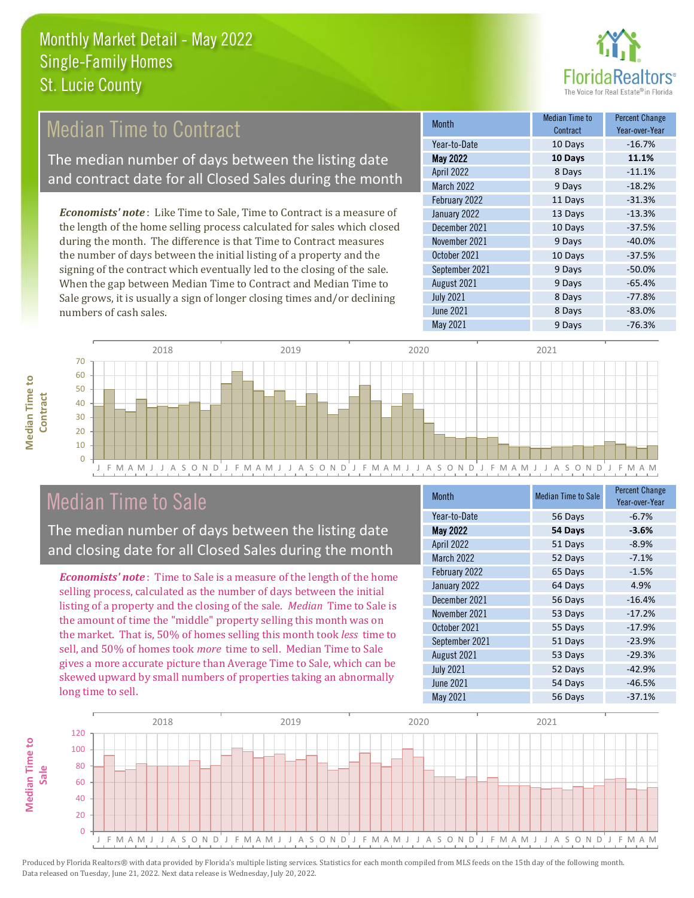

#### Median Time to Contract

The median number of days between the listing date and contract date for all Closed Sales during the month

*Economists' note* : Like Time to Sale, Time to Contract is a measure of the length of the home selling process calculated for sales which closed during the month. The difference is that Time to Contract measures the number of days between the initial listing of a property and the signing of the contract which eventually led to the closing of the sale. When the gap between Median Time to Contract and Median Time to Sale grows, it is usually a sign of longer closing times and/or declining numbers of cash sales.

| <b>Month</b>      | <b>Median Time to</b><br>Contract | <b>Percent Change</b><br>Year-over-Year |
|-------------------|-----------------------------------|-----------------------------------------|
| Year-to-Date      | 10 Days                           | $-16.7%$                                |
| <b>May 2022</b>   | 10 Days                           | 11.1%                                   |
| <b>April 2022</b> | 8 Days                            | $-11.1%$                                |
| <b>March 2022</b> | 9 Days                            | $-18.2%$                                |
| February 2022     | 11 Days                           | $-31.3%$                                |
| January 2022      | 13 Days                           | $-13.3%$                                |
| December 2021     | 10 Days                           | $-37.5%$                                |
| November 2021     | 9 Days                            | $-40.0%$                                |
| October 2021      | 10 Days                           | $-37.5%$                                |
| September 2021    | 9 Days                            | $-50.0%$                                |
| August 2021       | 9 Days                            | $-65.4%$                                |
| <b>July 2021</b>  | 8 Days                            | $-77.8%$                                |
| <b>June 2021</b>  | 8 Days                            | $-83.0%$                                |
| May 2021          | 9 Days                            | $-76.3%$                                |



#### Median Time to Sale

**Median Time to** 

**Median Time to** 

The median number of days between the listing date and closing date for all Closed Sales during the month

*Economists' note* : Time to Sale is a measure of the length of the home selling process, calculated as the number of days between the initial listing of a property and the closing of the sale. *Median* Time to Sale is the amount of time the "middle" property selling this month was on the market. That is, 50% of homes selling this month took *less* time to sell, and 50% of homes took *more* time to sell. Median Time to Sale gives a more accurate picture than Average Time to Sale, which can be skewed upward by small numbers of properties taking an abnormally long time to sell.

| <b>Month</b>      | <b>Median Time to Sale</b> | <b>Percent Change</b><br>Year-over-Year |
|-------------------|----------------------------|-----------------------------------------|
| Year-to-Date      | 56 Days                    | $-6.7%$                                 |
| May 2022          | 54 Days                    | $-3.6%$                                 |
| April 2022        | 51 Days                    | $-8.9%$                                 |
| <b>March 2022</b> | 52 Days                    | $-7.1%$                                 |
| February 2022     | 65 Days                    | $-1.5%$                                 |
| January 2022      | 64 Days                    | 4.9%                                    |
| December 2021     | 56 Days                    | $-16.4%$                                |
| November 2021     | 53 Days                    | $-17.2%$                                |
| October 2021      | 55 Days                    | $-17.9%$                                |
| September 2021    | 51 Days                    | $-23.9%$                                |
| August 2021       | 53 Days                    | $-29.3%$                                |
| <b>July 2021</b>  | 52 Days                    | $-42.9%$                                |
| <b>June 2021</b>  | 54 Days                    | $-46.5%$                                |
| May 2021          | 56 Days                    | $-37.1%$                                |

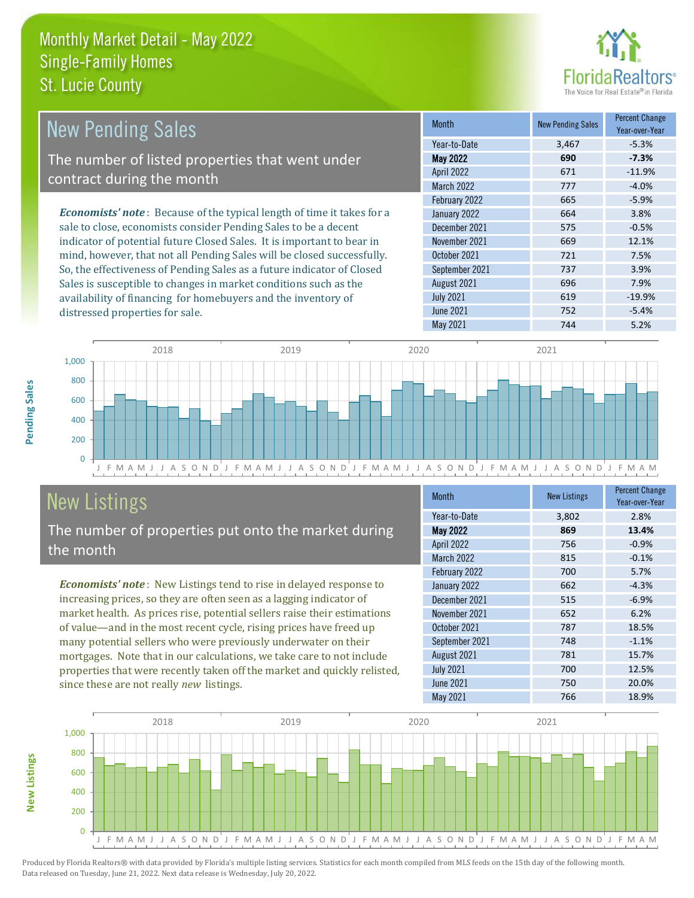distressed properties for sale.



| <b>New Pending Sales</b>                                                       | <b>Month</b>      | <b>New Pending Sales</b> | <b>Percent Change</b><br>Year-over-Year |
|--------------------------------------------------------------------------------|-------------------|--------------------------|-----------------------------------------|
|                                                                                | Year-to-Date      | 3,467                    | $-5.3%$                                 |
| The number of listed properties that went under                                | <b>May 2022</b>   | 690                      | $-7.3%$                                 |
| contract during the month                                                      | <b>April 2022</b> | 671                      | $-11.9%$                                |
|                                                                                | <b>March 2022</b> | 777                      | $-4.0%$                                 |
|                                                                                | February 2022     | 665                      | $-5.9%$                                 |
| <b>Economists' note</b> : Because of the typical length of time it takes for a | January 2022      | 664                      | 3.8%                                    |
| sale to close, economists consider Pending Sales to be a decent                | December 2021     | 575                      | $-0.5%$                                 |
| indicator of potential future Closed Sales. It is important to bear in         | November 2021     | 669                      | 12.1%                                   |
| mind, however, that not all Pending Sales will be closed successfully.         | October 2021      | 721                      | 7.5%                                    |
| So, the effectiveness of Pending Sales as a future indicator of Closed         | September 2021    | 737                      | 3.9%                                    |
| Sales is susceptible to changes in market conditions such as the               | August 2021       | 696                      | 7.9%                                    |



## New Listings

The number of properties put onto the market during the month

availability of financing for homebuyers and the inventory of

*Economists' note* : New Listings tend to rise in delayed response to increasing prices, so they are often seen as a lagging indicator of market health. As prices rise, potential sellers raise their estimations of value—and in the most recent cycle, rising prices have freed up many potential sellers who were previously underwater on their mortgages. Note that in our calculations, we take care to not include properties that were recently taken off the market and quickly relisted, since these are not really *new* listings.

| <b>Month</b>      | <b>New Listings</b> | <b>Percent Change</b><br>Year-over-Year |
|-------------------|---------------------|-----------------------------------------|
| Year-to-Date      | 3,802               | 2.8%                                    |
| <b>May 2022</b>   | 869                 | 13.4%                                   |
| <b>April 2022</b> | 756                 | $-0.9%$                                 |
| March 2022        | 815                 | $-0.1%$                                 |
| February 2022     | 700                 | 5.7%                                    |
| January 2022      | 662                 | $-4.3%$                                 |
| December 2021     | 515                 | $-6.9%$                                 |
| November 2021     | 652                 | 6.2%                                    |
| October 2021      | 787                 | 18.5%                                   |
| September 2021    | 748                 | $-1.1%$                                 |
| August 2021       | 781                 | 15.7%                                   |
| <b>July 2021</b>  | 700                 | 12.5%                                   |
| <b>June 2021</b>  | 750                 | 20.0%                                   |
| May 2021          | 766                 | 18.9%                                   |

July 2021 619 619 -19.9% June 2021 752 752 - 5.4% May 2021 744 5.2%



Produced by Florida Realtors® with data provided by Florida's multiple listing services. Statistics for each month compiled from MLS feeds on the 15th day of the following month. Data released on Tuesday, June 21, 2022. Next data release is Wednesday, July 20, 2022.

**New Listings**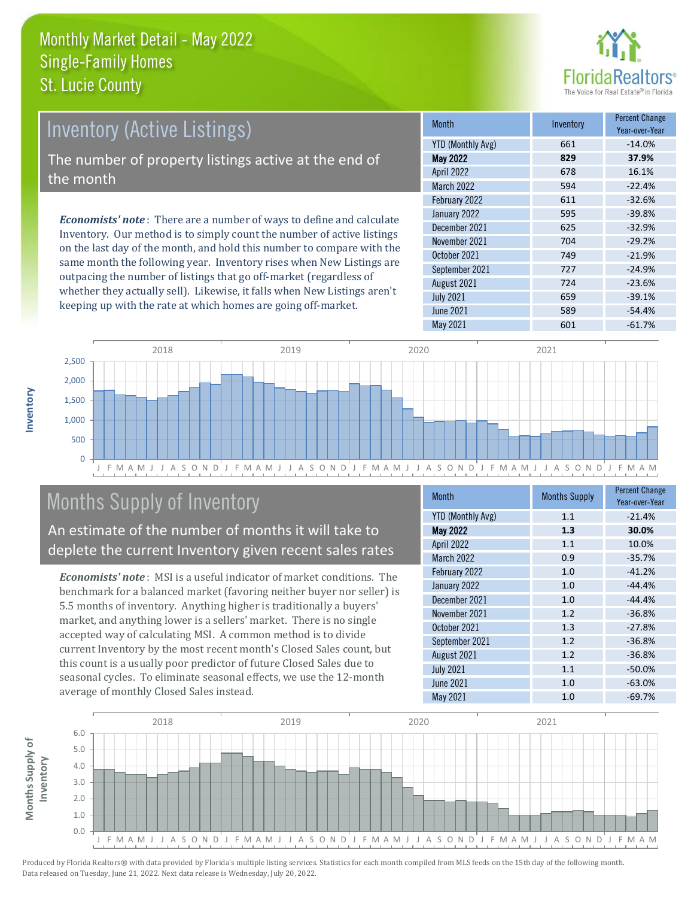

# Inventory (Active Listings)

The number of property listings active at the end of the month

*Economists' note* : There are a number of ways to define and calculate Inventory. Our method is to simply count the number of active listings on the last day of the month, and hold this number to compare with the same month the following year. Inventory rises when New Listings are outpacing the number of listings that go off-market (regardless of whether they actually sell). Likewise, it falls when New Listings aren't keeping up with the rate at which homes are going off-market.

| <b>Month</b>             | Inventory | <b>Percent Change</b><br>Year-over-Year |
|--------------------------|-----------|-----------------------------------------|
| <b>YTD (Monthly Avg)</b> | 661       | $-14.0%$                                |
| <b>May 2022</b>          | 829       | 37.9%                                   |
| April 2022               | 678       | 16.1%                                   |
| <b>March 2022</b>        | 594       | $-22.4%$                                |
| February 2022            | 611       | $-32.6%$                                |
| January 2022             | 595       | $-39.8%$                                |
| December 2021            | 625       | $-32.9%$                                |
| November 2021            | 704       | $-29.2%$                                |
| October 2021             | 749       | $-21.9%$                                |
| September 2021           | 727       | $-24.9%$                                |
| August 2021              | 724       | $-23.6%$                                |
| <b>July 2021</b>         | 659       | $-39.1%$                                |
| <b>June 2021</b>         | 589       | $-54.4%$                                |
| May 2021                 | 601       | $-61.7%$                                |



## Months Supply of Inventory

An estimate of the number of months it will take to deplete the current Inventory given recent sales rates

*Economists' note* : MSI is a useful indicator of market conditions. The benchmark for a balanced market (favoring neither buyer nor seller) is 5.5 months of inventory. Anything higher is traditionally a buyers' market, and anything lower is a sellers' market. There is no single accepted way of calculating MSI. A common method is to divide current Inventory by the most recent month's Closed Sales count, but this count is a usually poor predictor of future Closed Sales due to seasonal cycles. To eliminate seasonal effects, we use the 12-month average of monthly Closed Sales instead.

| <b>Month</b>             | <b>Months Supply</b> | <b>Percent Change</b><br>Year-over-Year |
|--------------------------|----------------------|-----------------------------------------|
| <b>YTD (Monthly Avg)</b> | 1.1                  | $-21.4%$                                |
| <b>May 2022</b>          | 1.3                  | 30.0%                                   |
| April 2022               | 1.1                  | 10.0%                                   |
| March 2022               | 0.9                  | $-35.7%$                                |
| February 2022            | 1.0                  | $-41.2%$                                |
| January 2022             | 1.0                  | $-44.4%$                                |
| December 2021            | 1.0                  | $-44.4%$                                |
| November 2021            | 1.2                  | $-36.8%$                                |
| October 2021             | 1.3                  | $-27.8%$                                |
| September 2021           | 1.2                  | $-36.8%$                                |
| August 2021              | 1.2                  | $-36.8%$                                |
| <b>July 2021</b>         | 1.1                  | $-50.0%$                                |
| <b>June 2021</b>         | 1.0                  | $-63.0%$                                |
| <b>May 2021</b>          | 1.0                  | $-69.7%$                                |

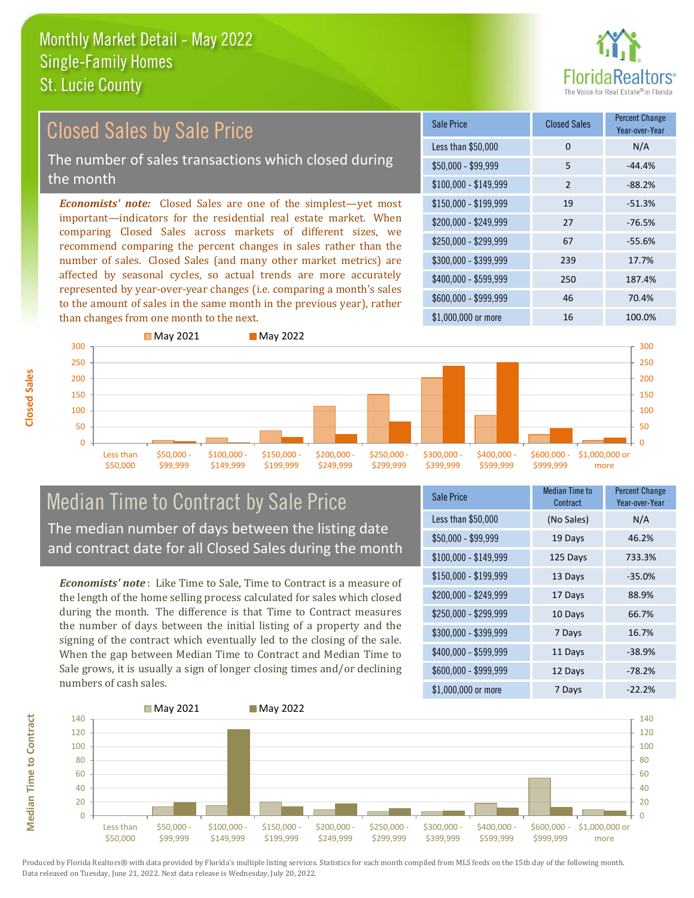

#### *Economists' note:* Closed Sales are one of the simplest—yet most important—indicators for the residential real estate market. When comparing Closed Sales across markets of different sizes, we recommend comparing the percent changes in sales rather than the number of sales. Closed Sales (and many other market metrics) are affected by seasonal cycles, so actual trends are more accurately represented by year-over-year changes (i.e. comparing a month's sales to the amount of sales in the same month in the previous year), rather than changes from one month to the next. \$1,000,000 or more 16 100.0% \$250,000 - \$299,999 67 -55.6% \$300,000 - \$399,999 239 17.7% \$400,000 - \$599,999 250 187.4% \$600,000 - \$999,999 46 70.4% \$150,000 - \$199,999 19 -51.3% \$200,000 - \$249,999 27 -76.5%  $$100,000 - $149,999$  2 -88.2% Sale Price Closed Sales Percent Change Year-over-Year Less than \$50,000 0 0 N/A  $$50,000 - $99,999$  5  $-44.4\%$ **May 2021** May 2022 300 Closed Sales by Sale Price The number of sales transactions which closed during the month



#### Median Time to Contract by Sale Price The median number of days between the listing date and contract date for all Closed Sales during the month

*Economists' note* : Like Time to Sale, Time to Contract is a measure of the length of the home selling process calculated for sales which closed during the month. The difference is that Time to Contract measures the number of days between the initial listing of a property and the signing of the contract which eventually led to the closing of the sale. When the gap between Median Time to Contract and Median Time to Sale grows, it is usually a sign of longer closing times and/or declining numbers of cash sales.

| <b>Sale Price</b>     | Median Time to<br>Contract | <b>Percent Change</b><br>Year-over-Year |
|-----------------------|----------------------------|-----------------------------------------|
| Less than \$50,000    | (No Sales)                 | N/A                                     |
| \$50,000 - \$99,999   | 19 Days                    | 46.2%                                   |
| $$100,000 - $149,999$ | 125 Days                   | 733.3%                                  |
| $$150,000 - $199,999$ | 13 Days                    | $-35.0%$                                |
| \$200,000 - \$249,999 | 17 Days                    | 88.9%                                   |
| \$250,000 - \$299,999 | 10 Days                    | 66.7%                                   |
| \$300,000 - \$399,999 | 7 Days                     | 16.7%                                   |
| \$400,000 - \$599,999 | 11 Days                    | $-38.9%$                                |
| \$600,000 - \$999,999 | 12 Days                    | $-78.2%$                                |
| \$1,000,000 or more   | 7 Days                     | $-22.2%$                                |



Produced by Florida Realtors® with data provided by Florida's multiple listing services. Statistics for each month compiled from MLS feeds on the 15th day of the following month. Data released on Tuesday, June 21, 2022. Next data release is Wednesday, July 20, 2022.

**Median Time to Contract**

**Median Time to Contract**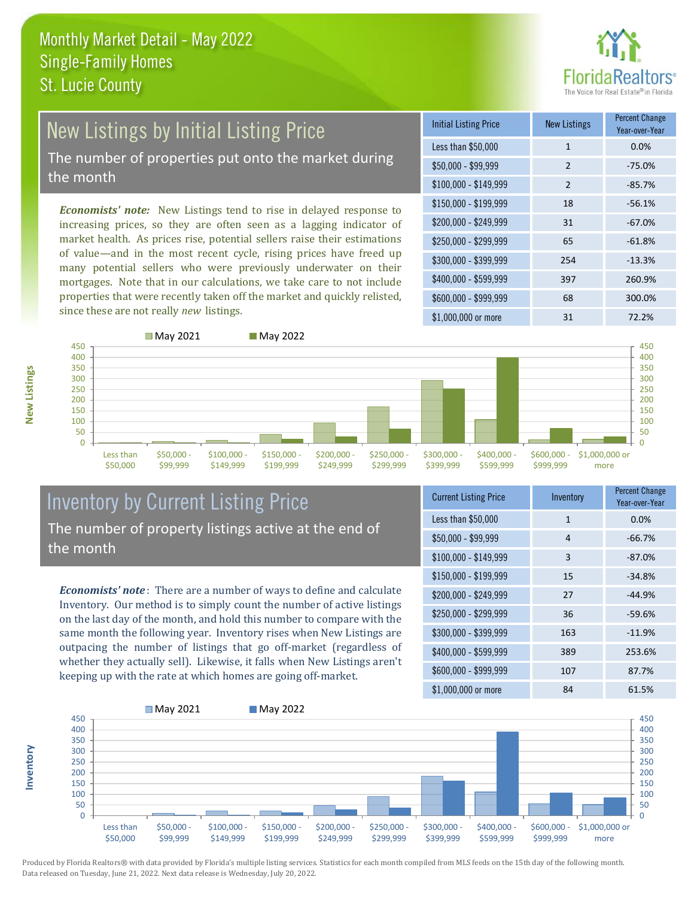

#### New Listings by Initial Listing Price The number of properties put onto the market during

the month

*Economists' note:* New Listings tend to rise in delayed response to increasing prices, so they are often seen as a lagging indicator of market health. As prices rise, potential sellers raise their estimations of value—and in the most recent cycle, rising prices have freed up many potential sellers who were previously underwater on their mortgages. Note that in our calculations, we take care to not include properties that were recently taken off the market and quickly relisted, since these are not really *new* listings.

| Initial Listing Price | New Listings   | <b>Percent Change</b><br>Year-over-Year |
|-----------------------|----------------|-----------------------------------------|
| Less than \$50,000    | $\mathbf{1}$   | 0.0%                                    |
| $$50,000 - $99,999$   | $\overline{2}$ | $-75.0%$                                |
| $$100,000 - $149,999$ | $\mathcal{P}$  | $-85.7%$                                |
| $$150,000 - $199,999$ | 18             | $-56.1%$                                |
| \$200,000 - \$249,999 | 31             | $-67.0%$                                |
| \$250,000 - \$299,999 | 65             | $-61.8%$                                |
| \$300,000 - \$399,999 | 254            | $-13.3%$                                |
| \$400,000 - \$599,999 | 397            | 260.9%                                  |
| \$600,000 - \$999,999 | 68             | 300.0%                                  |
| \$1,000,000 or more   | 31             | 72.2%                                   |



**Inventory**



#### Inventory by Current Listing Price The number of property listings active at the end of the month

*Economists' note* : There are a number of ways to define and calculate Inventory. Our method is to simply count the number of active listings on the last day of the month, and hold this number to compare with the same month the following year. Inventory rises when New Listings are outpacing the number of listings that go off-market (regardless of whether they actually sell). Likewise, it falls when New Listings aren't keeping up with the rate at which homes are going off-market.

| <b>Current Listing Price</b> | Inventory | <b>Percent Change</b><br>Year-over-Year |
|------------------------------|-----------|-----------------------------------------|
| Less than \$50,000           | 1         | 0.0%                                    |
| \$50,000 - \$99,999          | 4         | $-66.7%$                                |
| $$100,000 - $149,999$        | 3         | $-87.0%$                                |
| $$150,000 - $199,999$        | 15        | $-34.8%$                                |
| \$200,000 - \$249,999        | 27        | $-44.9%$                                |
| \$250,000 - \$299,999        | 36        | $-59.6%$                                |
| \$300,000 - \$399,999        | 163       | $-11.9%$                                |
| $$400,000 - $599,999$        | 389       | 253.6%                                  |
| \$600,000 - \$999,999        | 107       | 87.7%                                   |
| \$1,000,000 or more          | 84        | 61.5%                                   |